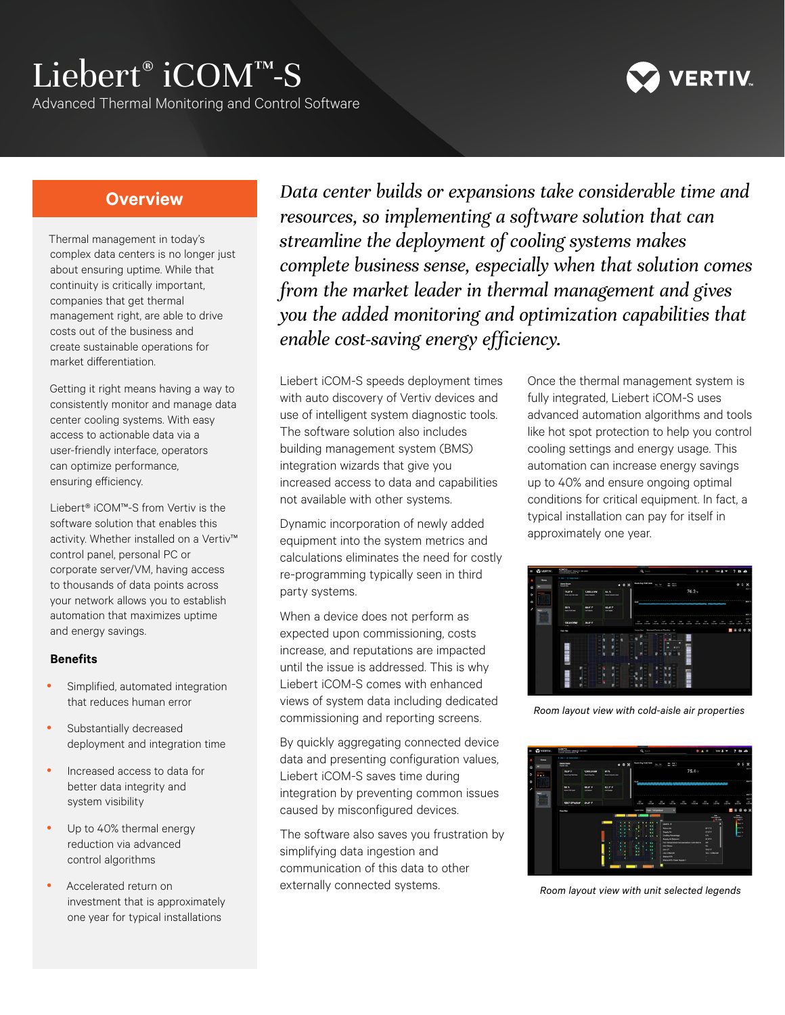# Liebert® iCOM™-S

Advanced Thermal Monitoring and Control Software



# **Overview**

Thermal management in today's complex data centers is no longer just about ensuring uptime. While that continuity is critically important, companies that get thermal management right, are able to drive costs out of the business and create sustainable operations for market differentiation.

Getting it right means having a way to consistently monitor and manage data center cooling systems. With easy access to actionable data via a user-friendly interface, operators can optimize performance, ensuring efficiency.

Liebert® iCOM™-S from Vertiv is the software solution that enables this activity. Whether installed on a Vertiv™ control panel, personal PC or corporate server/VM, having access to thousands of data points across your network allows you to establish automation that maximizes uptime and energy savings.

#### **Benefits**

- Simplified, automated integration that reduces human error
- Substantially decreased deployment and integration time
- Increased access to data for better data integrity and system visibility
- Up to 40% thermal energy reduction via advanced control algorithms
- Accelerated return on investment that is approximately one year for typical installations

*Data center builds or expansions take considerable time and resources, so implementing a software solution that can streamline the deployment of cooling systems makes complete business sense, especially when that solution comes from the market leader in thermal management and gives you the added monitoring and optimization capabilities that enable cost-saving energy efficiency.*

Liebert iCOM-S speeds deployment times with auto discovery of Vertiv devices and use of intelligent system diagnostic tools. The software solution also includes building management system (BMS) integration wizards that give you increased access to data and capabilities not available with other systems.

Dynamic incorporation of newly added equipment into the system metrics and calculations eliminates the need for costly re-programming typically seen in third party systems.

When a device does not perform as expected upon commissioning, costs increase, and reputations are impacted until the issue is addressed. This is why Liebert iCOM-S comes with enhanced views of system data including dedicated commissioning and reporting screens.

By quickly aggregating connected device data and presenting configuration values, Liebert iCOM-S saves time during integration by preventing common issues caused by misconfigured devices.

The software also saves you frustration by simplifying data ingestion and communication of this data to other externally connected systems.

Once the thermal management system is fully integrated, Liebert iCOM-S uses advanced automation algorithms and tools like hot spot protection to help you control cooling settings and energy usage. This automation can increase energy savings up to 40% and ensure ongoing optimal conditions for critical equipment. In fact, a typical installation can pay for itself in approximately one year.



*Room layout view with cold-aisle air properties*



*Room layout view with unit selected legends*